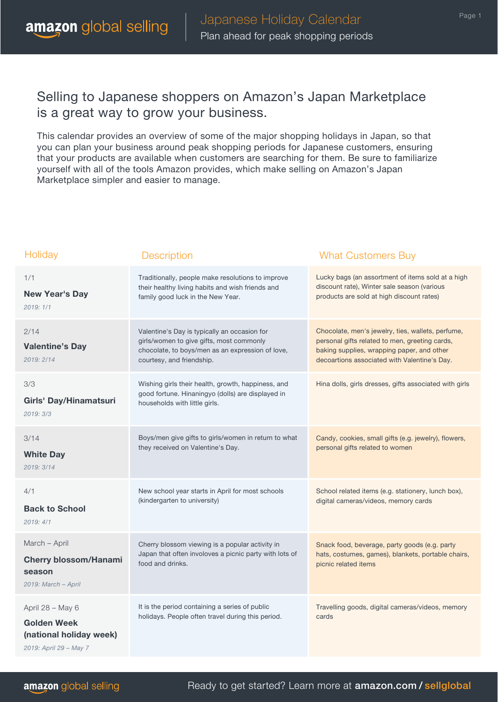This calendar provides an overview of some of the major shopping holidays in Japan, so that you can plan your business around peak shopping periods for Japanese customers, ensuring that your products are available when customers are searching for them. Be sure to familiarize yourself with all of the tools Amazon provides, which make selling on Amazon's Japan Marketplace simpler and easier to manage.

| Holiday                                                                                     | Description                                                                                                                                                               | <b>What Customers Buy</b>                                                                                                                                                                         |
|---------------------------------------------------------------------------------------------|---------------------------------------------------------------------------------------------------------------------------------------------------------------------------|---------------------------------------------------------------------------------------------------------------------------------------------------------------------------------------------------|
| 1/1<br><b>New Year's Day</b><br>2019:1/1                                                    | Traditionally, people make resolutions to improve<br>their healthy living habits and wish friends and<br>family good luck in the New Year.                                | Lucky bags (an assortment of items sold at a high<br>discount rate), Winter sale season (various<br>products are sold at high discount rates)                                                     |
| 2/14<br><b>Valentine's Day</b><br>2019: 2/14                                                | Valentine's Day is typically an occasion for<br>girls/women to give gifts, most commonly<br>chocolate, to boys/men as an expression of love,<br>courtesy, and friendship. | Chocolate, men's jewelry, ties, wallets, perfume,<br>personal gifts related to men, greeting cards,<br>baking supplies, wrapping paper, and other<br>decoartions associated with Valentine's Day. |
| 3/3<br>Girls' Day/Hinamatsuri<br>2019:3/3                                                   | Wishing girls their health, growth, happiness, and<br>good fortune. Hinaningyo (dolls) are displayed in<br>households with little girls.                                  | Hina dolls, girls dresses, gifts associated with girls                                                                                                                                            |
| 3/14<br><b>White Day</b><br>2019: 3/14                                                      | Boys/men give gifts to girls/women in return to what<br>they received on Valentine's Day.                                                                                 | Candy, cookies, small gifts (e.g. jewelry), flowers,<br>personal gifts related to women                                                                                                           |
| 4/1<br><b>Back to School</b><br>2019:4/1                                                    | New school year starts in April for most schools<br>(kindergarten to university)                                                                                          | School related items (e.g. stationery, lunch box),<br>digital cameras/videos, memory cards                                                                                                        |
| March - April<br><b>Cherry blossom/Hanami</b><br>season<br>2019: March - April              | Cherry blossom viewing is a popular activity in<br>Japan that often involoves a picnic party with lots of<br>food and drinks.                                             | Snack food, beverage, party goods (e.g. party<br>hats, costumes, games), blankets, portable chairs,<br>picnic related items                                                                       |
| April 28 - May 6<br><b>Golden Week</b><br>(national holiday week)<br>2019: April 29 - May 7 | It is the period containing a series of public<br>holidays. People often travel during this period.                                                                       | Travelling goods, digital cameras/videos, memory<br>cards                                                                                                                                         |

Ready to get started? Learn more at amazon.com / sellglobal